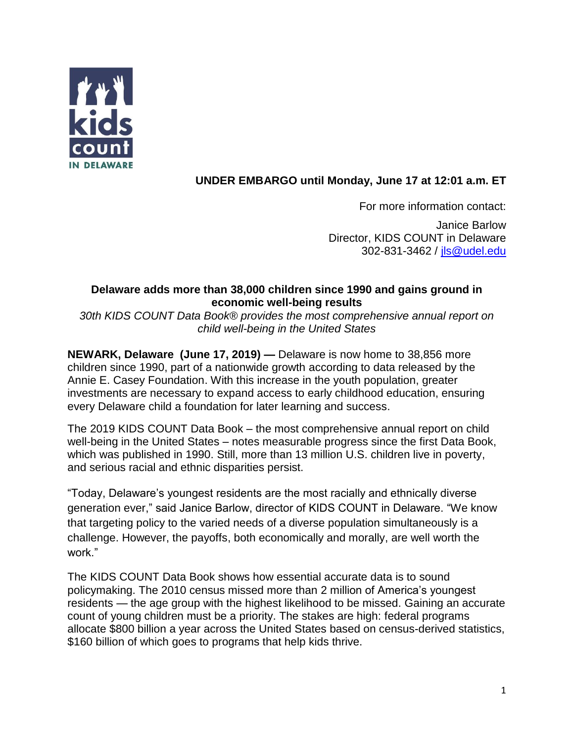

# **UNDER EMBARGO until Monday, June 17 at 12:01 a.m. ET**

For more information contact: Janice Barlow

Director, KIDS COUNT in Delaware 302-831-3462 / [jls@udel.edu](mailto:jls@udel.edu)

# **Delaware adds more than 38,000 children since 1990 and gains ground in economic well-being results**

*30th KIDS COUNT Data Book® provides the most comprehensive annual report on child well-being in the United States*

**NEWARK, Delaware (June 17, 2019) —** Delaware is now home to 38,856 more children since 1990, part of a nationwide growth according to data released by the Annie E. Casey Foundation. With this increase in the youth population, greater investments are necessary to expand access to early childhood education, ensuring every Delaware child a foundation for later learning and success.

The 2019 KIDS COUNT Data Book – the most comprehensive annual report on child well-being in the United States – notes measurable progress since the first Data Book, which was published in 1990. Still, more than 13 million U.S. children live in poverty, and serious racial and ethnic disparities persist.

"Today, Delaware's youngest residents are the most racially and ethnically diverse generation ever," said Janice Barlow, director of KIDS COUNT in Delaware. "We know that targeting policy to the varied needs of a diverse population simultaneously is a challenge. However, the payoffs, both economically and morally, are well worth the work."

The KIDS COUNT Data Book shows how essential accurate data is to sound policymaking. The 2010 census missed more than 2 million of America's youngest residents — the age group with the highest likelihood to be missed. Gaining an accurate count of young children must be a priority. The stakes are high: federal programs allocate \$800 billion a year across the United States based on census-derived statistics, \$160 billion of which goes to programs that help kids thrive.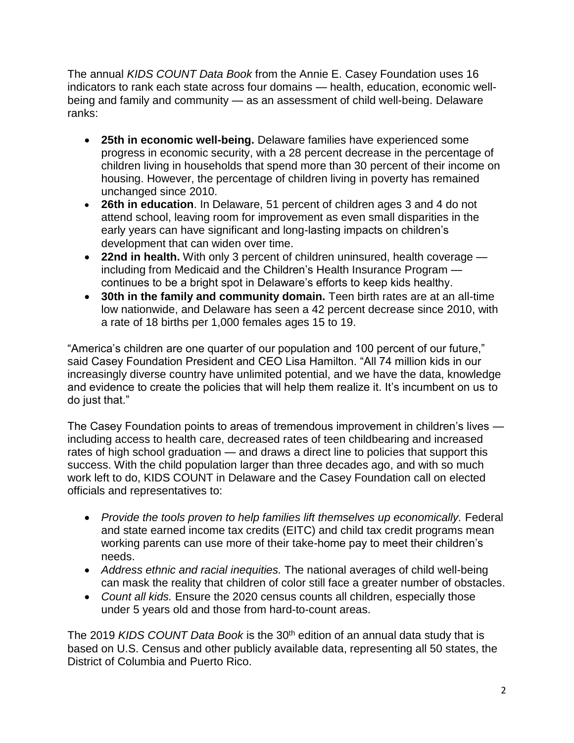The annual *KIDS COUNT Data Book* from the Annie E. Casey Foundation uses 16 indicators to rank each state across four domains — health, education, economic wellbeing and family and community — as an assessment of child well-being. Delaware ranks:

- **25th in economic well-being.** Delaware families have experienced some progress in economic security, with a 28 percent decrease in the percentage of children living in households that spend more than 30 percent of their income on housing. However, the percentage of children living in poverty has remained unchanged since 2010.
- **26th in education**. In Delaware, 51 percent of children ages 3 and 4 do not attend school, leaving room for improvement as even small disparities in the early years can have significant and long-lasting impacts on children's development that can widen over time.
- **22nd in health.** With only 3 percent of children uninsured, health coverage including from Medicaid and the Children's Health Insurance Program continues to be a bright spot in Delaware's efforts to keep kids healthy.
- **30th in the family and community domain.** Teen birth rates are at an all-time low nationwide, and Delaware has seen a 42 percent decrease since 2010, with a rate of 18 births per 1,000 females ages 15 to 19.

"America's children are one quarter of our population and 100 percent of our future," said Casey Foundation President and CEO Lisa Hamilton. "All 74 million kids in our increasingly diverse country have unlimited potential, and we have the data, knowledge and evidence to create the policies that will help them realize it. It's incumbent on us to do just that."

The Casey Foundation points to areas of tremendous improvement in children's lives including access to health care, decreased rates of teen childbearing and increased rates of high school graduation — and draws a direct line to policies that support this success. With the child population larger than three decades ago, and with so much work left to do, KIDS COUNT in Delaware and the Casey Foundation call on elected officials and representatives to:

- *Provide the tools proven to help families lift themselves up economically.* Federal and state earned income tax credits (EITC) and child tax credit programs mean working parents can use more of their take-home pay to meet their children's needs.
- *Address ethnic and racial inequities.* The national averages of child well-being can mask the reality that children of color still face a greater number of obstacles.
- *Count all kids.* Ensure the 2020 census counts all children, especially those under 5 years old and those from hard-to-count areas.

The 2019 *KIDS COUNT Data Book* is the 30<sup>th</sup> edition of an annual data study that is based on U.S. Census and other publicly available data, representing all 50 states, the District of Columbia and Puerto Rico.